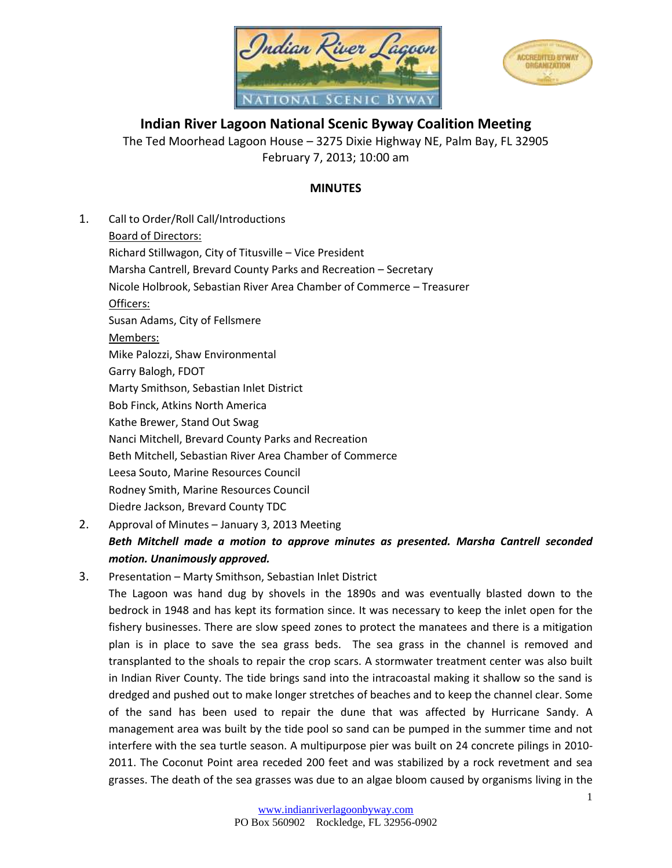



**Indian River Lagoon National Scenic Byway Coalition Meeting** The Ted Moorhead Lagoon House – 3275 Dixie Highway NE, Palm Bay, FL 32905 February 7, 2013; 10:00 am

## **MINUTES**

- 1. Call to Order/Roll Call/Introductions Board of Directors: Richard Stillwagon, City of Titusville – Vice President Marsha Cantrell, Brevard County Parks and Recreation – Secretary Nicole Holbrook, Sebastian River Area Chamber of Commerce – Treasurer Officers: Susan Adams, City of Fellsmere Members: Mike Palozzi, Shaw Environmental Garry Balogh, FDOT Marty Smithson, Sebastian Inlet District Bob Finck, Atkins North America Kathe Brewer, Stand Out Swag Nanci Mitchell, Brevard County Parks and Recreation Beth Mitchell, Sebastian River Area Chamber of Commerce Leesa Souto, Marine Resources Council Rodney Smith, Marine Resources Council Diedre Jackson, Brevard County TDC
- 2. Approval of Minutes January 3, 2013 Meeting *Beth Mitchell made a motion to approve minutes as presented. Marsha Cantrell seconded motion. Unanimously approved.*
- 3. Presentation Marty Smithson, Sebastian Inlet District

The Lagoon was hand dug by shovels in the 1890s and was eventually blasted down to the bedrock in 1948 and has kept its formation since. It was necessary to keep the inlet open for the fishery businesses. There are slow speed zones to protect the manatees and there is a mitigation plan is in place to save the sea grass beds. The sea grass in the channel is removed and transplanted to the shoals to repair the crop scars. A stormwater treatment center was also built in Indian River County. The tide brings sand into the intracoastal making it shallow so the sand is dredged and pushed out to make longer stretches of beaches and to keep the channel clear. Some of the sand has been used to repair the dune that was affected by Hurricane Sandy. A management area was built by the tide pool so sand can be pumped in the summer time and not interfere with the sea turtle season. A multipurpose pier was built on 24 concrete pilings in 2010- 2011. The Coconut Point area receded 200 feet and was stabilized by a rock revetment and sea grasses. The death of the sea grasses was due to an algae bloom caused by organisms living in the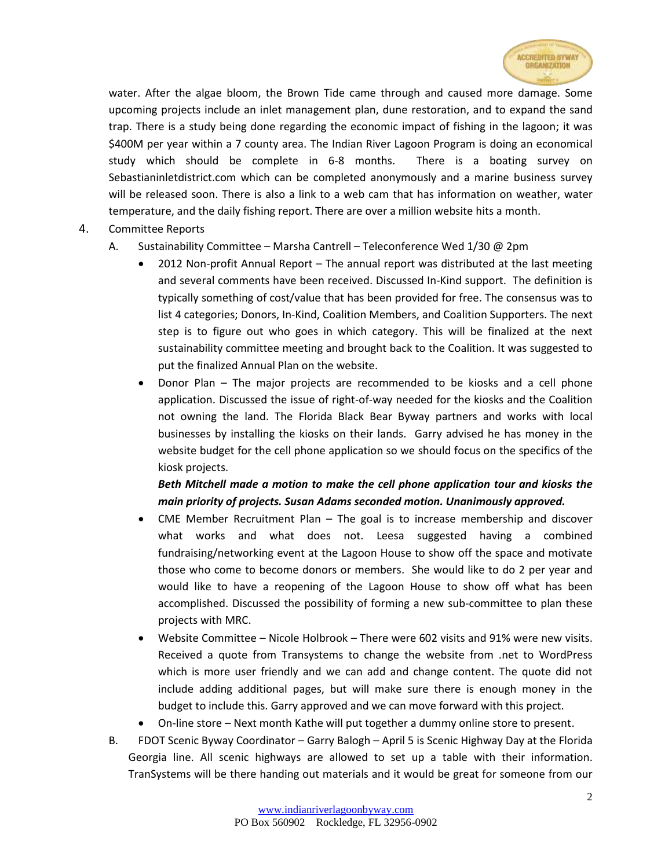

water. After the algae bloom, the Brown Tide came through and caused more damage. Some upcoming projects include an inlet management plan, dune restoration, and to expand the sand trap. There is a study being done regarding the economic impact of fishing in the lagoon; it was \$400M per year within a 7 county area. The Indian River Lagoon Program is doing an economical study which should be complete in 6-8 months. There is a boating survey on Sebastianinletdistrict.com which can be completed anonymously and a marine business survey will be released soon. There is also a link to a web cam that has information on weather, water temperature, and the daily fishing report. There are over a million website hits a month.

- 4. Committee Reports
	- A. Sustainability Committee Marsha Cantrell Teleconference Wed 1/30 @ 2pm
		- 2012 Non-profit Annual Report The annual report was distributed at the last meeting and several comments have been received. Discussed In-Kind support. The definition is typically something of cost/value that has been provided for free. The consensus was to list 4 categories; Donors, In-Kind, Coalition Members, and Coalition Supporters. The next step is to figure out who goes in which category. This will be finalized at the next sustainability committee meeting and brought back to the Coalition. It was suggested to put the finalized Annual Plan on the website.
		- Donor Plan The major projects are recommended to be kiosks and a cell phone application. Discussed the issue of right-of-way needed for the kiosks and the Coalition not owning the land. The Florida Black Bear Byway partners and works with local businesses by installing the kiosks on their lands. Garry advised he has money in the website budget for the cell phone application so we should focus on the specifics of the kiosk projects.

## *Beth Mitchell made a motion to make the cell phone application tour and kiosks the main priority of projects. Susan Adams seconded motion. Unanimously approved.*

- CME Member Recruitment Plan The goal is to increase membership and discover what works and what does not. Leesa suggested having a combined fundraising/networking event at the Lagoon House to show off the space and motivate those who come to become donors or members. She would like to do 2 per year and would like to have a reopening of the Lagoon House to show off what has been accomplished. Discussed the possibility of forming a new sub-committee to plan these projects with MRC.
- Website Committee Nicole Holbrook There were 602 visits and 91% were new visits. Received a quote from Transystems to change the website from .net to WordPress which is more user friendly and we can add and change content. The quote did not include adding additional pages, but will make sure there is enough money in the budget to include this. Garry approved and we can move forward with this project.
- On-line store Next month Kathe will put together a dummy online store to present.
- B. FDOT Scenic Byway Coordinator Garry Balogh April 5 is Scenic Highway Day at the Florida Georgia line. All scenic highways are allowed to set up a table with their information. TranSystems will be there handing out materials and it would be great for someone from our